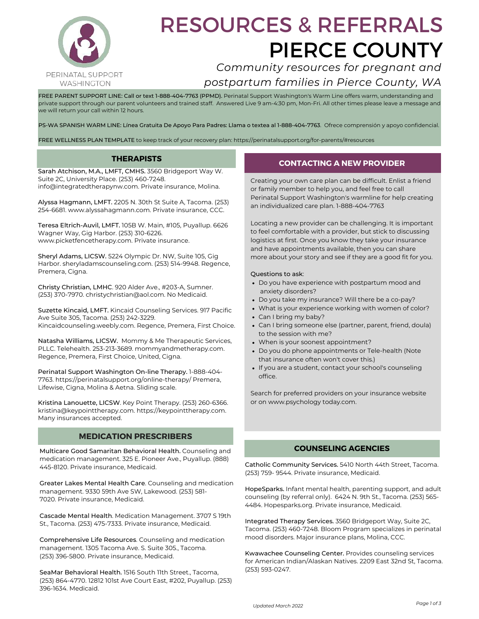

# RESOURCES & REFERRALS PIERCE COUNTY

## *Community resources for pregnant and postpartum families in Pierce County, WA*

FREE PARENT SUPPORT LINE: Call or text 1-888-404-7763 (PPMD). Perinatal Support Washington's Warm Line offers warm, understanding and private support through our parent volunteers and trained staff. Answered Live 9 am-4:30 pm, Mon-Fri. All other times please leave a message and we will return your call within 12 hours.

PS-WA SPANISH WARM LINE: Línea Gratuita De Apoyo Para Padres: Llama o textea al 1-888-404-7763. Ofrece comprensión y apoyo confidencial.

FREE WELLNESS PLAN TEMPLATE to keep track of your recovery plan: https://perinatalsupport.org/for-parents/#resources

#### **THERAPISTS**

Sarah Atchison, M.A., LMFT, CMHS. 3560 Bridgeport Way W. Suite 2C, University Place. (253) 460-7248. info@integratedtherapynw.com. Private insurance, Molina.

Alyssa Hagmann, LMFT. 2205 N. 30th St Suite A, Tacoma. (253) 254-6681. www.alyssahagmann.com. Private insurance, CCC.

Teresa Eltrich-Auvil, LMFT. 105B W. Main, #105, Puyallup. 6626 Wagner Way, Gig Harbor. (253) 310-6226. www.picketfencetherapy.com. Private insurance.

Sheryl Adams, LICSW. 5224 Olympic Dr. NW, Suite 105, Gig Harbor. sheryladamscounseling.com. (253) 514-9948. Regence, Premera, Cigna.

Christy Christian, LMHC. 920 Alder Ave., #203-A, Sumner. (253) 370-7970. christychristian@aol.com. No Medicaid.

Suzette Kincaid, LMFT. Kincaid Counseling Services. 917 Pacific Ave Suite 305, Tacoma. (253) 242-3229. Kincaidcounseling.weebly.com. Regence, Premera, First Choice.

Natasha Williams, LICSW. Mommy & Me Therapeutic Services, PLLC. Telehealth. 253-213-3689. mommyandmetherapy.com. Regence, Premera, First Choice, United, Cigna.

Perinatal Support Washington On-line Therapy. 1-888-404- 7763. https://perinatalsupport.org/online-therapy/ Premera, Lifewise, Cigna, Molina & Aetna. Sliding scale.

Kristina Lanouette, LICSW. Key Point Therapy. (253) 260-6366. [kristina@keypointtherapy.com](mailto:kristina@keypointtherapy.com). https://keypointtherapy.com. Many insurances accepted.

#### **MEDICATION PRESCRIBERS**

Multicare Good Samaritan Behavioral Health. Counseling and medication management. 325 E. Pioneer Ave., Puyallup. (888) 445-8120. Private insurance, Medicaid.

Greater Lakes Mental Health Care. Counseling and medication management. 9330 59th Ave SW, Lakewood. (253) 581- 7020. Private insurance, Medicaid.

Cascade Mental Health. Medication Management. 3707 S 19th St., Tacoma. (253) 475-7333. Private insurance, Medicaid.

Comprehensive Life Resources. Counseling and medication management. 1305 Tacoma Ave. S. Suite 305., Tacoma. (253) 396-5800. Private insurance, Medicaid.

SeaMar Behavioral Health. 1516 South 11th Street., Tacoma, (253) 864-4770. 12812 101st Ave Court East, #202, Puyallup. (253) 396-1634. Medicaid.

#### **CONTACTING A NEW PROVIDER**

Creating your own care plan can be difficult. Enlist a friend or family member to help you, and feel free to call Perinatal Support Washington's warmline for help creating an individualized care plan. 1-888-404-7763

Locating a new provider can be challenging. It is important to feel comfortable with a provider, but stick to discussing logistics at first. Once you know they take your insurance and have appointments available, then you can share more about your story and see if they are a good fit for you.

#### Questions to ask:

- Do you have experience with postpartum mood and anxiety disorders?
- Do you take my insurance? Will there be a co-pay?
- What is your experience working with women of color?
- Can I bring my baby?
- Can I bring someone else (partner, parent, friend, doula) to the session with me?
- When is your soonest appointment?
- Do you do phone appointments or Tele-health (Note that insurance often won't cover this.)
- If you are a student, contact your school's counseling office.

Search for preferred providers on your insurance website or on www.psychology today.com.

#### **COUNSELING AGENCIES**

Catholic Community Services. 5410 North 44th Street, Tacoma. (253) 759- 9544. Private insurance, Medicaid.

HopeSparks. Infant mental health, parenting support, and adult counseling (by referral only). 6424 N. 9th St., Tacoma. (253) 565- 4484. Hopesparks.org. Private insurance, Medicaid.

Integrated Therapy Services. 3560 Bridgeport Way, Suite 2C, Tacoma. (253) 460-7248. Bloom Program specializes in perinatal mood disorders. Major insurance plans, Molina, CCC.

Kwawachee Counseling Center. Provides counseling services for American Indian/Alaskan Natives. 2209 East 32nd St, Tacoma. (253) 593-0247.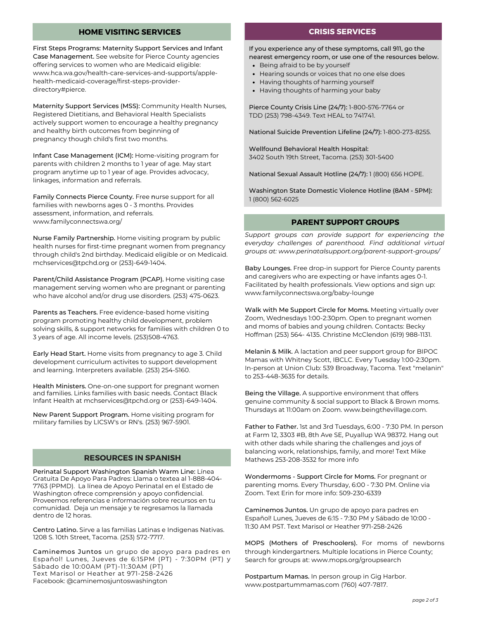#### **HOME VISITING SERVICES CRISIS SERVICES**

First Steps Programs: Maternity Support Services and Infant Case Management. See website for Pierce County agencies offering services to women who are Medicaid eligible: www.hca.wa.gov/health-care-services-and-supports/applehealth-medicaid-coverage/first-steps-providerdirectory#pierce.

Maternity Support Services (MSS): Community Health Nurses, Registered Dietitians, and Behavioral Health Specialists actively support women to encourage a healthy pregnancy and healthy birth outcomes from beginning of pregnancy though child's first two months.

Infant Case Management (ICM): Home-visiting program for parents with children 2 months to 1 year of age. May start program anytime up to 1 year of age. Provides advocacy, linkages, information and referrals.

Family Connects Pierce County. Free nurse support for all families with newborns ages 0 - 3 months. Provides assessment, information, and referrals. www.familyconnectswa.org/

Nurse Family Partnership. Home visiting program by public health nurses for first-time pregnant women from pregnancy through child's 2nd birthday. Medicaid eligible or on Medicaid. mchservices@tpchd.org or (253)-649-1404.

Parent/Child Assistance Program (PCAP). Home visiting case management serving women who are pregnant or parenting who have alcohol and/or drug use disorders. (253) 475-0623.

Parents as Teachers. Free evidence-based home visiting program promoting healthy child development, problem solving skills, & support networks for families with children 0 to 3 years of age. All income levels. (253)508-4763.

Early Head Start. Home visits from pregnancy to age 3. Child development curriculum activites to support development and learning. Interpreters available. (253) 254-5160.

Health Ministers. One-on-one support for pregnant women and families. Links families with basic needs. Contact Black Infant Health at mchservices@tpchd.org or (253)-649-1404.

New Parent Support Program. Home visiting program for military families by LICSW's or RN's. (253) 967-5901.

#### **RESOURCES IN SPANISH**

Perinatal Support Washington Spanish Warm Line: Línea Gratuita De Apoyo Para Padres: Llama o textea al 1-888-404- 7763 (PPMD). La línea de Apoyo Perinatal en el Estado de Washington ofrece comprensión y apoyo confidencial. Proveemos referencias e información sobre recursos en tu comunidad. Deja un mensaje y te regresamos la llamada dentro de 12 horas.

Centro Latino. Sirve a las familias Latinas e Indigenas Nativas. 1208 S. 10th Street, Tacoma. (253) 572-7717.

Caminemos Juntos un grupo de apoyo para padres en Español! Lunes, Jueves de 6:15PM (PT) - 7:30PM (PT) y Sábado de 10:00AM (PT)-11:30AM (PT) Text Marisol or Heather at 971-258-2426 Facebook: @caminemosjuntoswashington

If you experience any of these symptoms, call 911, go the nearest emergency room, or use one of the resources below.

- Being afraid to be by yourself
- Hearing sounds or voices that no one else does
- Having thoughts of harming yourself
- Having thoughts of harming your baby

Pierce County Crisis Line (24/7): 1-800-576-7764 or TDD (253) 798-4349. Text HEAL to 741741.

National Suicide Prevention Lifeline (24/7): 1-800-273-8255.

wellfound Behavioral Health Hospital: 3402 South 19th Street, Tacoma. (253) 301-5400

National Sexual Assault Hotline (24/7): 1 (800) 656 HOPE.

Washington State Domestic Violence Hotline (8AM - 5PM): 1 (800) 562-6025

#### **PARENT SUPPORT GROUPS**

*Support groups can provide support for experiencing the everyday challenges of parenthood. Find additional virtual groups at: www.perinatalsupport.org/parent-support-groups/*

Baby Lounges. Free drop-in support for Pierce County parents and caregivers who are expecting or have infants ages 0-1. Facilitated by health professionals. View options and sign up: www.familyconnectswa.org/baby-lounge

Walk with Me Support Circle for Moms. Meeting virtually over Zoom, Wednesdays 1:00-2:30pm. Open to pregnant women and moms of babies and young children. Contacts: Becky Hoffman (253) 564- 4135. Christine McClendon (619) 988-1131.

Melanin & Milk. A lactation and peer support group for BIPOC Mamas with Whitney Scott, IBCLC. Every Tuesday 1:00-2:30pm. In-person at Union Club: 539 Broadway, Tacoma. Text "melanin" to 253-448-3635 for details.

Being the Village. A supportive environment that offers genuine community & social support to Black & Brown moms. Thursdays at 11:00am on Zoom. www.beingthevillage.com.

Father to Father. 1st and 3rd Tuesdays, 6:00 - 7:30 PM. In person at Farm 12, 3303 #B, 8th Ave SE, Puyallup WA 98372. Hang out with other dads while sharing the challenges and joys of balancing work, relationships, family, and more! Text Mike Mathews 253-208-3532 for more info

Wondermoms - Support Circle for Moms. For pregnant or parenting moms. Every Thursday, 6:00 - 7:30 PM. Online via Zoom. Text Erin for more info: 509-230-6339

Caminemos Juntos. Un grupo de apoyo para padres en Español! Lunes, Jueves de 6:15 - 7:30 PM y Sábado de 10:00 - 11:30 AM PST. Text Marisol or Heather 971-258-2426

MOPS (Mothers of Preschoolers). For moms of newborns through kindergartners. Multiple locations in Pierce County; Search for groups at: www.mops.org/groupsearch

Postpartum Mamas. In person group in Gig Harbor. www.postpartummamas.com (760) 407-7817.